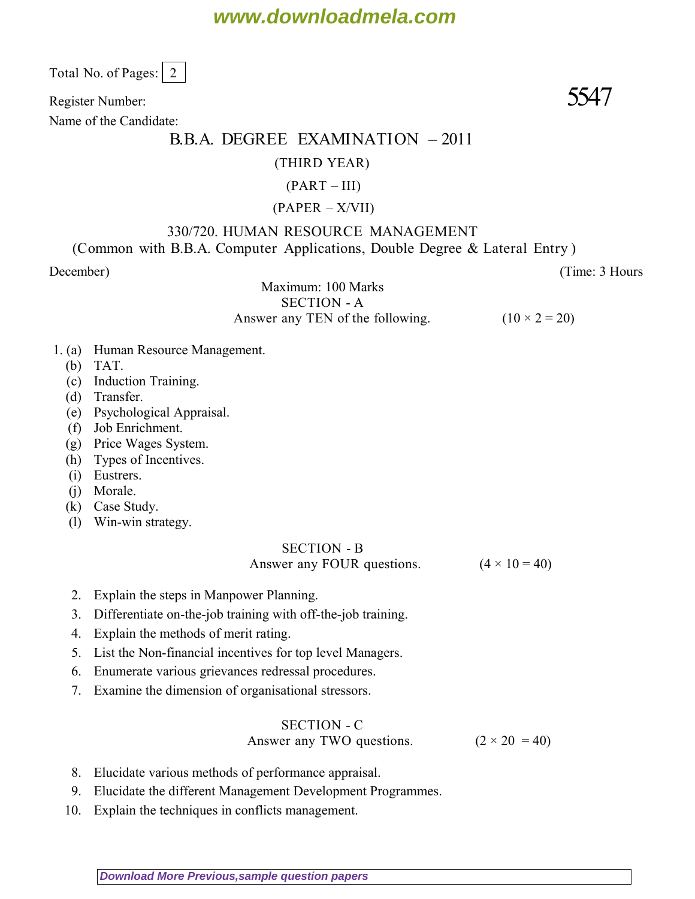# **www.downloadmela.com**

Total No. of Pages:  $\vert 2 \vert$ 

Register Number:  $5547$ 

Name of the Candidate:

# B.B.A. DEGREE EXAMINATION – 2011

#### (THIRD YEAR)

#### $(PART - III)$

#### (PAPER – X/VII)

# 330/720. HUMAN RESOURCE MANAGEMENT

(Common with B.B.A. Computer Applications, Double Degree & Lateral Entry )

*December*) (*Time: 3 Hours*

Maximum: 100 Marks

SECTION - A Answer any TEN of the following.  $(10 \times 2 = 20)$ 

- 1. (a) Human Resource Management.
	- (b) TAT.
	- (c) Induction Training.
	- (d) Transfer.
	- (e) Psychological Appraisal.
	- (f) Job Enrichment.
	- (g) Price Wages System.
	- (h) Types of Incentives.
	- (i) Eustrers.
	- (j) Morale.
	- (k) Case Study.
	- (l) Win-win strategy.

# SECTION - B

Answer any FOUR questions.  $(4 \times 10 = 40)$ 

- 2. Explain the steps in Manpower Planning.
- 3. Differentiate on-the-job training with off-the-job training.
- 4. Explain the methods of merit rating.
- 5. List the Non-financial incentives for top level Managers.
- 6. Enumerate various grievances redressal procedures.
- 7. Examine the dimension of organisational stressors.

## SECTION - C

Answer any TWO questions.  $(2 \times 20 = 40)$ 

- 8. Elucidate various methods of performance appraisal.
- 9. Elucidate the different Management Development Programmes.
- 10. Explain the techniques in conflicts management.

**[Download More Previous,sample question papers](http://downloadmela.com/pages/previouspapers/previouspapers.html)**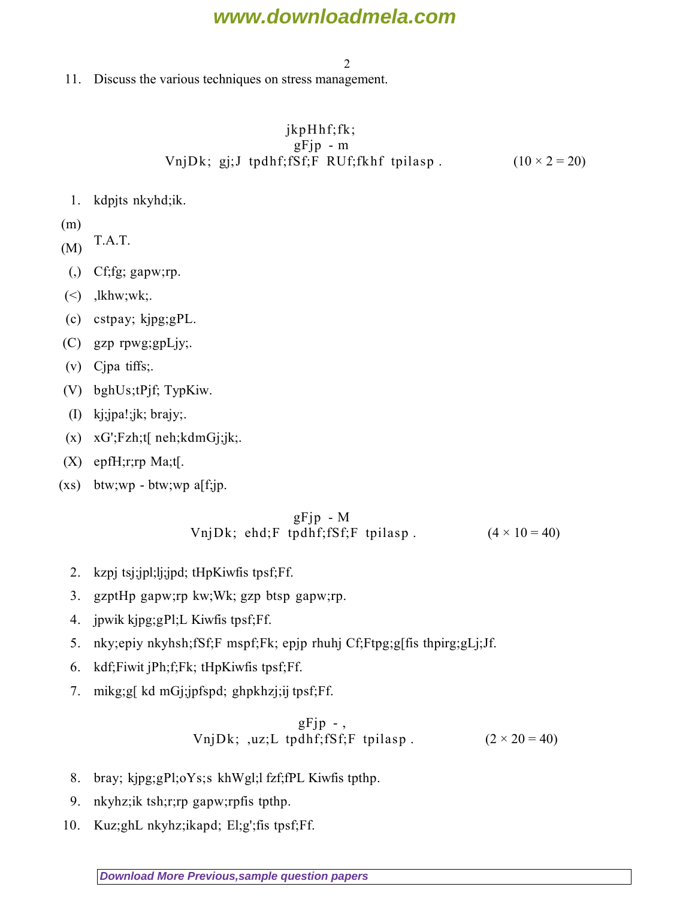# **www.downloadmela.com**

2

11. Discuss the various techniques on stress management.

## $jkpH$ hf;fk;  $gF$ jp - m VnjDk; gj;J tpdhf;fSf;F RUf;fkhf tpilasp .  $(10 \times 2 = 20)$

- 1. kdpjts nkyhd;ik.
- (m)
- $(M)$  T.A.T.
- $(,)$  Cf;fg; gapw;rp.
- $(\le)$ , lkhw;wk;
- (c) cstpay; kjpg;gPL.
- (C) gzp rpwg;gpLjy;.
- (v) Cjpa tiffs;.
- (V) bghUs;tPjf; TypKiw.
- (I) kj;jpa!;jk; brajy;.
- (x) xG';Fzh;t[ neh;kdmGj;jk;.
- (X) epfH;r;rp Ma;t[.
- $(xs)$  btw;wp btw;wp a[f;jp.

### $gFjp - M$ VnjDk; ehd;F tpdhf;fSf;F tpilasp .  $(4 \times 10 = 40)$

- 2. kzpj tsj;jpl;lj;jpd; tHpKiwfis tpsf;Ff.
- 3. gzptHp gapw;rp kw;Wk; gzp btsp gapw;rp.
- 4. jpwik kjpg;gPl;L Kiwfis tpsf;Ff.
- 5. nky;epiy nkyhsh;fSf;F mspf;Fk; epjp rhuhj Cf;Ftpg;g[fis thpirg;gLj;Jf.
- 6. kdf;Fiwit jPh;f;Fk; tHpKiwfis tpsf;Ff.
- 7. mikg;g[ kd mGj;jpfspd; ghpkhzj;ij tpsf;Ff.

$$
gFjp-,
$$
  
UnjDk; ,uz;L tpdhf; fSf;F tplasp. (2 × 20 = 40)

- 8. bray; kjpg;gPl;oYs;s khWgl;l fzf;fPL Kiwfis tpthp.
- 9. nkyhz;ik tsh;r;rp gapw;rpfis tpthp.
- 10. Kuz;ghL nkyhz;ikapd; El;g';fis tpsf;Ff.